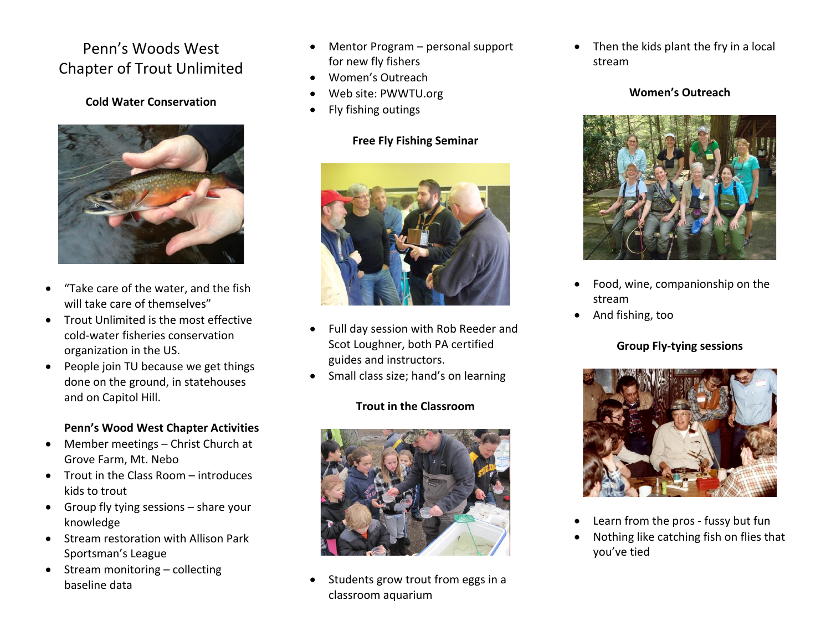# Penn's Woods West Chapter of Trout Unlimited

#### **Cold Water Conservation**



- "Take care of the water, and the fish will take care of themselves"
- Trout Unlimited is the most effective cold-water fisheries conservation organization in the US.
- $\bullet$  People join TU because we get things done on the ground, in statehouses and on Capitol Hill.

# **Penn's Wood West Chapter Activities**

- Member meetings Christ Church at Grove Farm, Mt. Nebo
- Trout in the Class Room introduces kids to trout
- Group fly tying sessions  $-$  share your knowledge
- Stream restoration with Allison Park Sportsman's League
- $\bullet$  Stream monitoring collecting baseline data
- Mentor Program personal support for new fly fishers
- Women's Outreach
- Web site: PWWTU.org
- Fly fishing outings

## **Free Fly Fishing Seminar**



- Full day session with Rob Reeder and Scot Loughner, both PA certified guides and instructors.
- Small class size; hand's on learning

# **Trout in the Classroom**



 Students grow trout from eggs in a classroom aquarium

• Then the kids plant the fry in a local stream

#### **Women's Outreach**



- Food, wine, companionship on the stream
- And fishing, too

# **Group Fly-tying sessions**



- Learn from the pros fussy but fun
- Nothing like catching fish on flies that you've tied